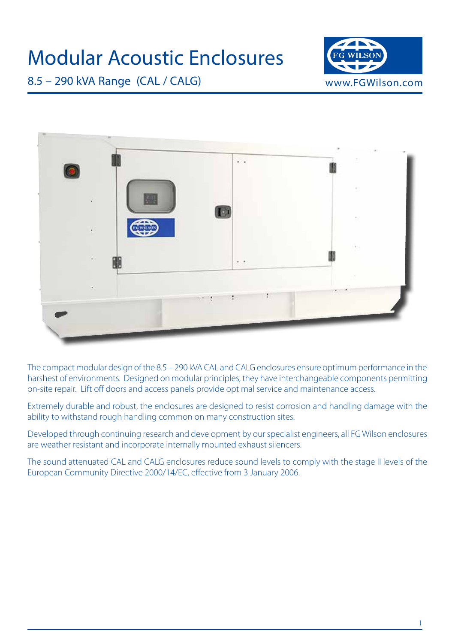



The compact modular design of the 8.5 – 290 kVA CAL and CALG enclosures ensure optimum performance in the harshest of environments. Designed on modular principles, they have interchangeable components permitting on-site repair. Lift off doors and access panels provide optimal service and maintenance access.

Extremely durable and robust, the enclosures are designed to resist corrosion and handling damage with the ability to withstand rough handling common on many construction sites.

Developed through continuing research and development by our specialist engineers, all FG Wilson enclosures are weather resistant and incorporate internally mounted exhaust silencers.

The sound attenuated CAL and CALG enclosures reduce sound levels to comply with the stage II levels of the European Community Directive 2000/14/EC, effective from 3 January 2006.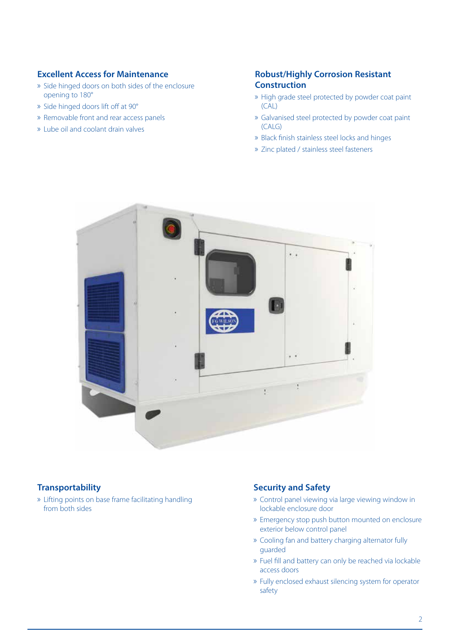## **Excellent Access for Maintenance**

- » Side hinged doors on both sides of the enclosure opening to 180°
- » Side hinged doors lift off at 90°
- » Removable front and rear access panels
- » Lube oil and coolant drain valves

## **Robust/Highly Corrosion Resistant Construction**

- » High grade steel protected by powder coat paint (CAL)
- » Galvanised steel protected by powder coat paint (CALG)
- » Black finish stainless steel locks and hinges
- » Zinc plated / stainless steel fasteners



### **Transportability**

» Lifting points on base frame facilitating handling from both sides

#### **Security and Safety**

- » Control panel viewing via large viewing window in lockable enclosure door
- » Emergency stop push button mounted on enclosure exterior below control panel
- » Cooling fan and battery charging alternator fully guarded
- » Fuel fill and battery can only be reached via lockable access doors
- » Fully enclosed exhaust silencing system for operator safety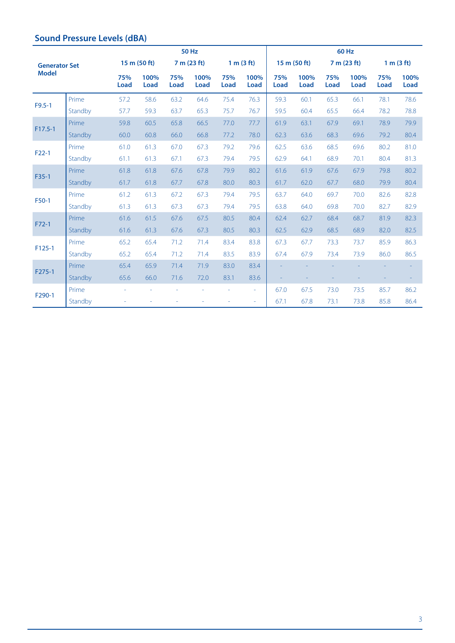|                                      |         |                    | <b>50 Hz</b>        |                    |                     |                    |                          |             | 60 Hz               |                    |                     |                    |              |  |
|--------------------------------------|---------|--------------------|---------------------|--------------------|---------------------|--------------------|--------------------------|-------------|---------------------|--------------------|---------------------|--------------------|--------------|--|
| <b>Generator Set</b><br><b>Model</b> |         |                    | 15 m (50 ft)        |                    | 7 m (23 ft)         |                    | 1 m (3 ft)               |             | 15 m (50 ft)        |                    | 7 m (23 ft)         |                    | 1 m (3 ft)   |  |
|                                      |         | 75%<br><b>Load</b> | 100%<br><b>Load</b> | 75%<br><b>Load</b> | 100%<br><b>Load</b> | 75%<br><b>Load</b> | 100%<br><b>Load</b>      | 75%<br>Load | 100%<br><b>Load</b> | 75%<br><b>Load</b> | 100%<br><b>Load</b> | 75%<br><b>Load</b> | 100%<br>Load |  |
| $F9.5 - 1$                           | Prime   | 57.2               | 58.6                | 63.2               | 64.6                | 75.4               | 76.3                     | 59.3        | 60.1                | 65.3               | 66.1                | 78.1               | 78.6         |  |
|                                      | Standby | 57.7               | 59.3                | 63.7               | 65.3                | 75.7               | 76.7                     | 59.5        | 60.4                | 65.5               | 66.4                | 78.2               | 78.8         |  |
| $F17.5-1$                            | Prime   | 59.8               | 60.5                | 65.8               | 66.5                | 77.0               | 77.7                     | 61.9        | 63.1                | 67.9               | 69.1                | 78.9               | 79.9         |  |
|                                      | Standby | 60.0               | 60.8                | 66.0               | 66.8                | 77.2               | 78.0                     | 62.3        | 63.6                | 68.3               | 69.6                | 79.2               | 80.4         |  |
| $F22-1$                              | Prime   | 61.0               | 61.3                | 67.0               | 67.3                | 79.2               | 79.6                     | 62.5        | 63.6                | 68.5               | 69.6                | 80.2               | 81.0         |  |
|                                      | Standby | 61.1               | 61.3                | 67.1               | 67.3                | 79.4               | 79.5                     | 62.9        | 64.1                | 68.9               | 70.1                | 80.4               | 81.3         |  |
| $F35-1$                              | Prime   | 61.8               | 61.8                | 67.6               | 67.8                | 79.9               | 80.2                     | 61.6        | 61.9                | 67.6               | 67.9                | 79.8               | 80.2         |  |
|                                      | Standby | 61.7               | 61.8                | 67.7               | 67.8                | 80.0               | 80.3                     | 61.7        | 62.0                | 67.7               | 68.0                | 79.9               | 80.4         |  |
| F50-1                                | Prime   | 61.2               | 61.3                | 67.2               | 67.3                | 79.4               | 79.5                     | 63.7        | 64.0                | 69.7               | 70.0                | 82.6               | 82.8         |  |
|                                      | Standby | 61.3               | 61.3                | 67.3               | 67.3                | 79.4               | 79.5                     | 63.8        | 64.0                | 69.8               | 70.0                | 82.7               | 82.9         |  |
| $F72-1$                              | Prime   | 61.6               | 61.5                | 67.6               | 67.5                | 80.5               | 80.4                     | 62.4        | 62.7                | 68.4               | 68.7                | 81.9               | 82.3         |  |
|                                      | Standby | 61.6               | 61.3                | 67.6               | 67.3                | 80.5               | 80.3                     | 62.5        | 62.9                | 68.5               | 68.9                | 82.0               | 82.5         |  |
| $F125-1$                             | Prime   | 65.2               | 65.4                | 71.2               | 71.4                | 83.4               | 83.8                     | 67.3        | 67.7                | 73.3               | 73.7                | 85.9               | 86.3         |  |
|                                      | Standby | 65.2               | 65.4                | 71.2               | 71.4                | 83.5               | 83.9                     | 67.4        | 67.9                | 73.4               | 73.9                | 86.0               | 86.5         |  |
| F275-1                               | Prime   | 65.4               | 65.9                | 71.4               | 71.9                | 83.0               | 83.4                     |             |                     |                    |                     |                    |              |  |
|                                      | Standby | 65.6               | 66.0                | 71.6               | 72.0                | 83.1               | 83.6                     |             |                     |                    |                     |                    |              |  |
| F290-1                               | Prime   |                    |                     |                    |                     |                    | $\overline{\phantom{a}}$ | 67.0        | 67.5                | 73.0               | 73.5                | 85.7               | 86.2         |  |
|                                      | Standby |                    |                     |                    |                     |                    | ÷,                       | 67.1        | 67.8                | 73.1               | 73.8                | 85.8               | 86.4         |  |

### **Sound Pressure Levels (dBA)**